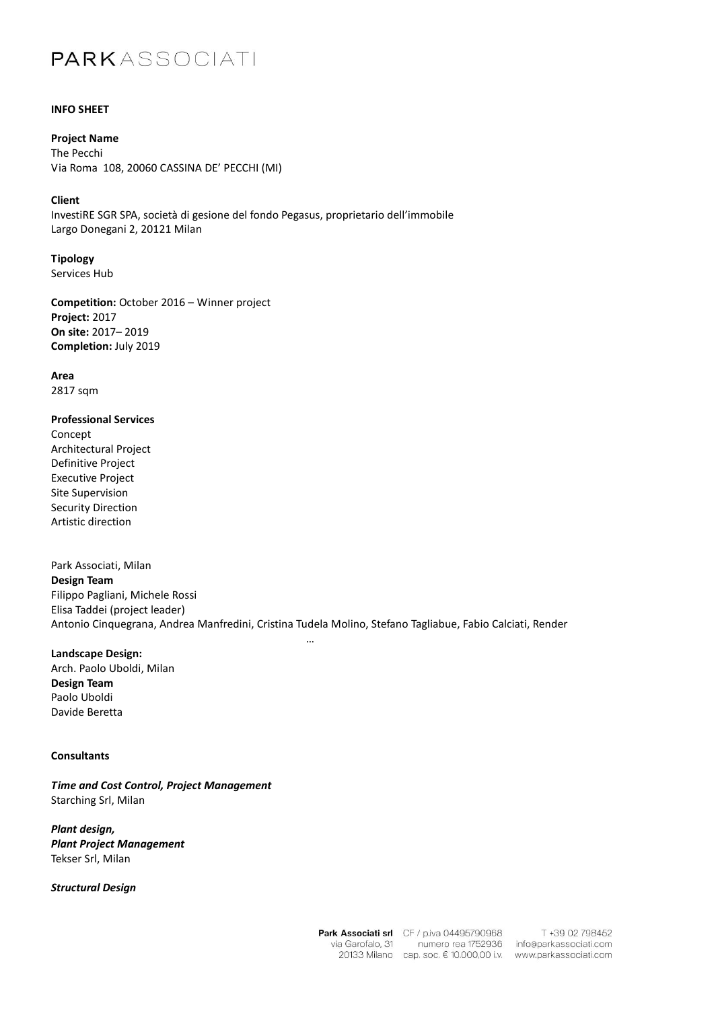# PARKASSOCIATI

### **INFO SHEET**

**Project Name** The Pecchi Via Roma 108, 20060 CASSINA DE' PECCHI (MI)

#### **Client**

InvestiRE SGR SPA, società di gesione del fondo Pegasus, proprietario dell'immobile Largo Donegani 2, 20121 Milan

**Tipology** Services Hub

**Competition:** October 2016 – Winner project **Project:** 2017 **On site:** 2017– 2019 **Completion:** July 2019

**Area** 2817 sqm

### **Professional Services**

Concept Architectural Project Definitive Project Executive Project Site Supervision Security Direction Artistic direction

Park Associati, Milan **Design Team** Filippo Pagliani, Michele Rossi Elisa Taddei (project leader) Antonio Cinquegrana, Andrea Manfredini, Cristina Tudela Molino, Stefano Tagliabue, Fabio Calciati, Render

…

**Landscape Design:**

Arch. Paolo Uboldi, Milan **Design Team** Paolo Uboldi Davide Beretta

## **Consultants**

*Time and Cost Control, Project Management* Starching Srl, Milan

*Plant design, Plant Project Management* Tekser Srl, Milan

*Structural Design*

Park Associati srl CF / p.iva 04495790968 numero rea 1752936 via Garofalo, 31 20133 Milano cap. soc. € 10.000,00 i.v.

T +39 02 798452 info@parkassociati.com www.parkassociati.com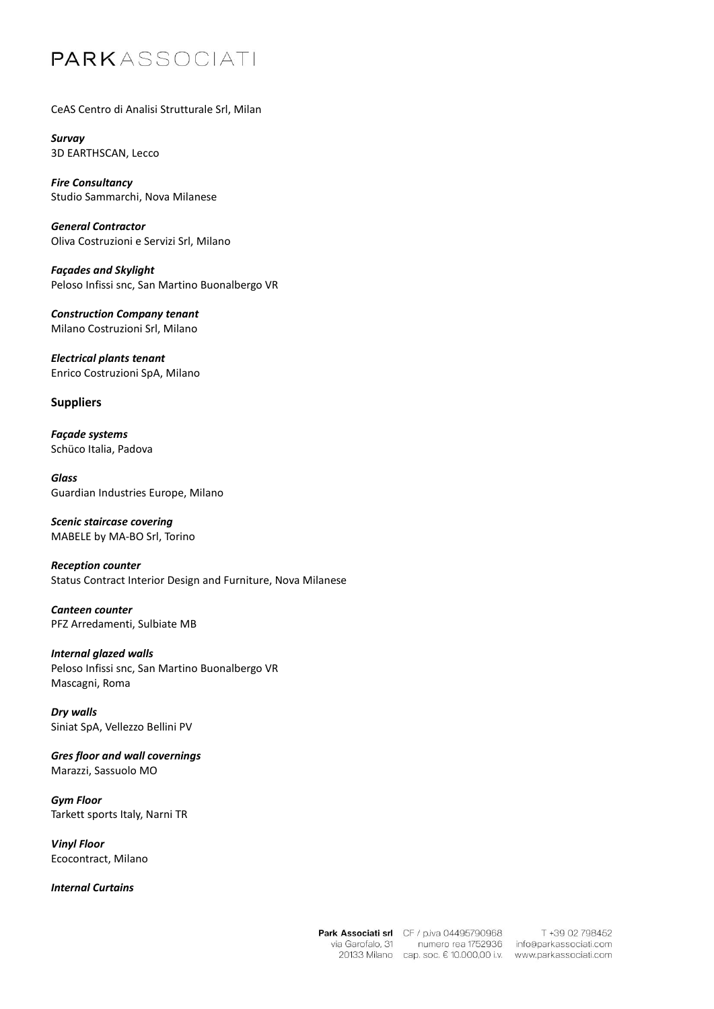# PARKASSOCIATI

## CeAS Centro di Analisi Strutturale Srl, Milan

*Survay* 3D EARTHSCAN, Lecco

*Fire Consultancy* Studio Sammarchi, Nova Milanese

*General Contractor* Oliva Costruzioni e Servizi Srl, Milano

*Façades and Skylight* Peloso Infissi snc, San Martino Buonalbergo VR

*Construction Company tenant* Milano Costruzioni Srl, Milano

*Electrical plants tenant* Enrico Costruzioni SpA, Milano

## **Suppliers**

*Façade systems* Schüco Italia, Padova

*Glass* Guardian Industries Europe, Milano

*Scenic staircase covering* MABELE by MA-BO Srl, Torino

*Reception counter* Status Contract Interior Design and Furniture, Nova Milanese

*Canteen counter* PFZ Arredamenti, Sulbiate MB

# *Internal glazed walls*

Peloso Infissi snc, San Martino Buonalbergo VR Mascagni, Roma

*Dry walls* Siniat SpA, Vellezzo Bellini PV

*Gres floor and wall covernings* Marazzi, Sassuolo MO

*Gym Floor* Tarkett sports Italy, Narni TR

*Vinyl Floor* Ecocontract, Milano

## *Internal Curtains*

Park Associati srl CF / p.iva 04495790968 numero rea 1752936 via Garofalo, 31 20133 Milano cap. soc. € 10.000,00 i.v.

T +39 02 798452 info@parkassociati.com www.parkassociati.com